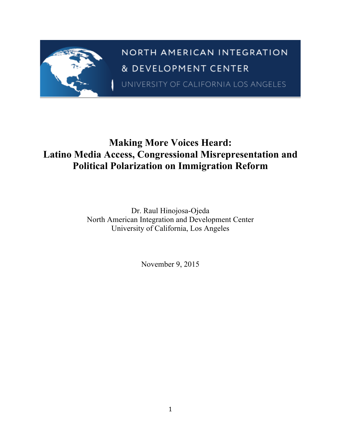

# **Making More Voices Heard: Latino Media Access, Congressional Misrepresentation and Political Polarization on Immigration Reform**

Dr. Raul Hinojosa-Ojeda North American Integration and Development Center University of California, Los Angeles

November 9, 2015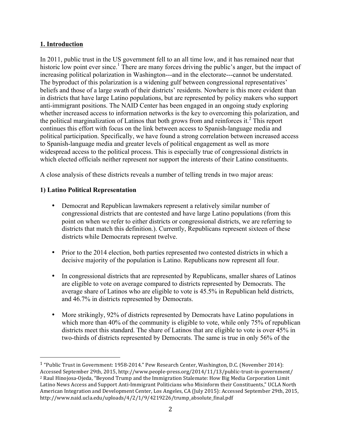# **1. Introduction**

In 2011, public trust in the US government fell to an all time low, and it has remained near that historic low point ever since.<sup>1</sup> There are many forces driving the public's anger, but the impact of increasing political polarization in Washington---and in the electorate---cannot be understated. The byproduct of this polarization is a widening gulf between congressional representatives' beliefs and those of a large swath of their districts' residents. Nowhere is this more evident than in districts that have large Latino populations, but are represented by policy makers who support anti-immigrant positions. The NAID Center has been engaged in an ongoing study exploring whether increased access to information networks is the key to overcoming this polarization, and the political marginalization of Latinos that both grows from and reinforces it.<sup>2</sup> This report continues this effort with focus on the link between access to Spanish-language media and political participation. Specifically, we have found a strong correlation between increased access to Spanish-language media and greater levels of political engagement as well as more widespread access to the political process. This is especially true of congressional districts in which elected officials neither represent nor support the interests of their Latino constituents.

A close analysis of these districts reveals a number of telling trends in two major areas:

# **1) Latino Political Representation**

- Democrat and Republican lawmakers represent a relatively similar number of congressional districts that are contested and have large Latino populations (from this point on when we refer to either districts or congressional districts, we are referring to districts that match this definition.). Currently, Republicans represent sixteen of these districts while Democrats represent twelve.
- Prior to the 2014 election, both parties represented two contested districts in which a decisive majority of the population is Latino. Republicans now represent all four.
- In congressional districts that are represented by Republicans, smaller shares of Latinos are eligible to vote on average compared to districts represented by Democrats. The average share of Latinos who are eligible to vote is 45.5% in Republican held districts, and 46.7% in districts represented by Democrats.
- More strikingly, 92% of districts represented by Democrats have Latino populations in which more than 40% of the community is eligible to vote, while only 75% of republican districts meet this standard. The share of Latinos that are eligible to vote is over 45% in two-thirds of districts represented by Democrats. The same is true in only 56% of the

<sup>&</sup>lt;sup>1</sup> "Public Trust in Government: 1958-2014." Pew Research Center, Washington, D.C. (November 2014): Accessed September 29th, 2015, http://www.people-press.org/2014/11/13/public-trust-in-government/ <sup>2</sup> Raul Hinojosa-Ojeda, "Beyond Trump and the Immigration Stalemate: How Big Media Corporation Limit Latino News Access and Support Anti-Immigrant Politicians who Misinform their Constituents," UCLA North American Integration and Development Center, Los Angeles, CA (July 2015): Accessed September 29th, 2015, http://www.naid.ucla.edu/uploads/4/2/1/9/4219226/trump\_absolute\_final.pdf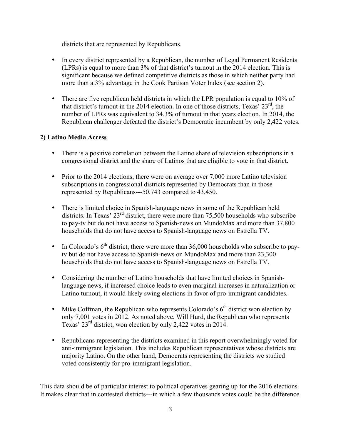districts that are represented by Republicans.

- In every district represented by a Republican, the number of Legal Permanent Residents (LPRs) is equal to more than 3% of that district's turnout in the 2014 election. This is significant because we defined competitive districts as those in which neither party had more than a 3% advantage in the Cook Partisan Voter Index (see section 2).
- There are five republican held districts in which the LPR population is equal to 10% of that district's turnout in the 2014 election. In one of those districts, Texas'  $23<sup>rd</sup>$ , the number of LPRs was equivalent to 34.3% of turnout in that years election. In 2014, the Republican challenger defeated the district's Democratic incumbent by only 2,422 votes.

# **2) Latino Media Access**

- There is a positive correlation between the Latino share of television subscriptions in a congressional district and the share of Latinos that are eligible to vote in that district.
- Prior to the 2014 elections, there were on average over 7,000 more Latino television subscriptions in congressional districts represented by Democrats than in those represented by Republicans---50,743 compared to 43,450.
- There is limited choice in Spanish-language news in some of the Republican held districts. In Texas' 23<sup>rd</sup> district, there were more than 75,500 households who subscribe to pay-tv but do not have access to Spanish-news on MundoMax and more than 37,800 households that do not have access to Spanish-language news on Estrella TV.
- In Colorado's  $6<sup>th</sup>$  district, there were more than 36,000 households who subscribe to paytv but do not have access to Spanish-news on MundoMax and more than 23,300 households that do not have access to Spanish-language news on Estrella TV.
- Considering the number of Latino households that have limited choices in Spanishlanguage news, if increased choice leads to even marginal increases in naturalization or Latino turnout, it would likely swing elections in favor of pro-immigrant candidates.
- Mike Coffman, the Republican who represents Colorado's  $6<sup>th</sup>$  district won election by only 7,001 votes in 2012. As noted above, Will Hurd, the Republican who represents Texas' 23rd district, won election by only 2,422 votes in 2014.
- Republicans representing the districts examined in this report overwhelmingly voted for anti-immigrant legislation. This includes Republican representatives whose districts are majority Latino. On the other hand, Democrats representing the districts we studied voted consistently for pro-immigrant legislation.

This data should be of particular interest to political operatives gearing up for the 2016 elections. It makes clear that in contested districts---in which a few thousands votes could be the difference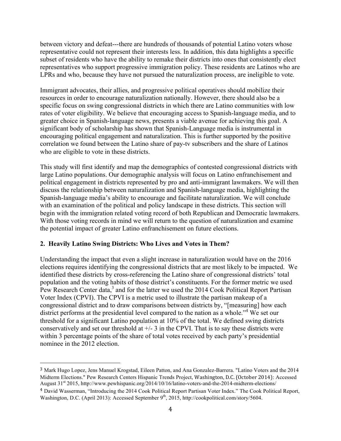between victory and defeat---there are hundreds of thousands of potential Latino voters whose representative could not represent their interests less. In addition, this data highlights a specific subset of residents who have the ability to remake their districts into ones that consistently elect representatives who support progressive immigration policy. These residents are Latinos who are LPRs and who, because they have not pursued the naturalization process, are ineligible to vote.

Immigrant advocates, their allies, and progressive political operatives should mobilize their resources in order to encourage naturalization nationally. However, there should also be a specific focus on swing congressional districts in which there are Latino communities with low rates of voter eligibility. We believe that encouraging access to Spanish-language media, and to greater choice in Spanish-language news, presents a viable avenue for achieving this goal. A significant body of scholarship has shown that Spanish-Language media is instrumental in encouraging political engagement and naturalization. This is further supported by the positive correlation we found between the Latino share of pay-tv subscribers and the share of Latinos who are eligible to vote in these districts.

This study will first identify and map the demographics of contested congressional districts with large Latino populations. Our demographic analysis will focus on Latino enfranchisement and political engagement in districts represented by pro and anti-immigrant lawmakers. We will then discuss the relationship between naturalization and Spanish-language media, highlighting the Spanish-language media's ability to encourage and facilitate naturalization. We will conclude with an examination of the political and policy landscape in these districts. This section will begin with the immigration related voting record of both Republican and Democratic lawmakers. With those voting records in mind we will return to the question of naturalization and examine the potential impact of greater Latino enfranchisement on future elections.

# **2. Heavily Latino Swing Districts: Who Lives and Votes in Them?**

 

Understanding the impact that even a slight increase in naturalization would have on the 2016 elections requires identifying the congressional districts that are most likely to be impacted. We identified these districts by cross-referencing the Latino share of congressional districts' total population and the voting habits of those district's constituents. For the former metric we used Pew Research Center data,<sup>3</sup> and for the latter we used the 2014 Cook Political Report Partisan Voter Index (CPVI). The CPVI is a metric used to illustrate the partisan makeup of a congressional district and to draw comparisons between districts by, "[measuring] how each district performs at the presidential level compared to the nation as a whole.<sup>"4</sup> We set our threshold for a significant Latino population at 10% of the total. We defined swing districts conservatively and set our threshold at  $+/- 3$  in the CPVI. That is to say these districts were within 3 percentage points of the share of total votes received by each party's presidential nominee in the 2012 election.

<sup>3</sup> Mark Hugo Lopez, Jens Manuel Krogstad, Eileen Patton, and Ana Gonzalez-Barrera. "Latino Voters and the 2014 Midterm Elections." Pew Research Centers Hispanic Trends Project, Washington, D.C. (October 2014): Accessed August 31<sup>st</sup> 2015, http://www.pewhispanic.org/2014/10/16/latino-voters-and-the-2014-midterm-elections/

<sup>4</sup> David Wasserman, "Introducing the 2014 Cook Political Report Partisan Voter Index." The Cook Political Report, Washington, D.C. (April 2013): Accessed September 9<sup>th</sup>, 2015, http://cookpolitical.com/story/5604.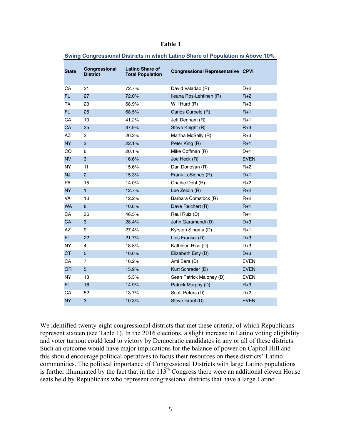| <b>State</b> | Congressional<br><b>District</b> | <b>Latino Share of</b><br><b>Total Population</b> | <b>Congressional Representative CPVI</b> |             |
|--------------|----------------------------------|---------------------------------------------------|------------------------------------------|-------------|
| CA           | 21                               | 72.7%                                             | David Valadao (R)                        | $D+2$       |
| FL.          | 27                               | 72.0%                                             | Ileana Ros-Lehtinen (R)                  | $R+2$       |
| TX           | 23                               | 68.9%                                             | Will Hurd (R)                            | $R+3$       |
| FL.          | 26                               | 68.5%                                             | Carlos Curbelo (R)                       | $R+1$       |
| CA           | 10                               | 41.2%                                             | Jeff Denham (R)                          | $R+1$       |
| <b>CA</b>    | 25                               | 37.9%                                             | Steve Knight (R)                         | $R+3$       |
| AZ           | $\overline{c}$                   | 26.2%                                             | Martha McSally (R)                       | $R+3$       |
| <b>NY</b>    | $\overline{c}$                   | 22.1%                                             | Peter King (R)                           | $R+1$       |
| CO           | 6                                | 20.1%                                             | Mike Coffman (R)                         | $D+1$       |
| <b>NV</b>    | $\ensuremath{\mathsf{3}}$        | 16.6%                                             | Joe Heck (R)                             | <b>EVEN</b> |
| <b>NY</b>    | 11                               | 15.6%                                             | Dan Donovan (R)                          | $R+2$       |
| NJ           | $\overline{2}$                   | 15.3%                                             | Frank LoBiondo (R)                       | $D+1$       |
| PA           | 15                               | 14.0%                                             | Charlie Dent (R)                         | $R+2$       |
| <b>NY</b>    | $\mathbf{1}$                     | 12.7%                                             | Lee Zeldin (R)                           | $R+2$       |
| <b>VA</b>    | 10                               | 12.2%                                             | Barbara Comstock (R)                     | $R+2$       |
| <b>WA</b>    | 8                                | 10.8%                                             | Dave Reichert (R)                        | $R+1$       |
| CA           | 36                               | 46.5%                                             | Raul Ruiz (D)                            | $R+1$       |
| CA           | $\mathbf{3}$                     | 28.4%                                             | John Garamendi (D)                       | $D+3$       |
| AZ           | 9                                | 27.4%                                             | Kyrsten Sinema (D)                       | $R+1$       |
| FL.          | 22                               | 21.7%                                             | Lois Frankel (D)                         | $D+3$       |
| <b>NY</b>    | $\overline{4}$                   | 18.8%                                             | Kathleen Rice (D)                        | $D+3$       |
| <b>CT</b>    | $\overline{5}$                   | 16.6%                                             | Elizabeth Esty (D)                       | $D+3$       |
| CA           | $\overline{7}$                   | 16.2%                                             | Ami Bera (D)                             | <b>EVEN</b> |
| <b>OR</b>    | 5                                | 15.9%                                             | Kurt Schrader (D)                        | <b>EVEN</b> |
| <b>NY</b>    | 18                               | 15.3%                                             | Sean Patrick Maloney (D)                 | <b>EVEN</b> |
| FL.          | 18                               | 14.9%                                             | Patrick Murphy (D)                       | $R + 3$     |
| CA           | 52                               | 13.7%                                             | Scott Peters (D)                         | $D+2$       |
| <b>NY</b>    | 3                                | 10.3%                                             | Steve Israel (D)                         | <b>EVEN</b> |

**Swing Congressional Districts in which Latino Share of Population is Above 10%**

We identified twenty-eight congressional districts that met these criteria, of which Republicans represent sixteen (see Table 1). In the 2016 elections, a slight increase in Latino voting eligibility and voter turnout could lead to victory by Democratic candidates in any or all of these districts. Such an outcome would have major implications for the balance of power on Capitol Hill and this should encourage political operatives to focus their resources on these districts' Latino communities. The political importance of Congressional Districts with large Latino populations is further illuminated by the fact that in the  $113<sup>th</sup>$  Congress there were an additional eleven House seats held by Republicans who represent congressional districts that have a large Latino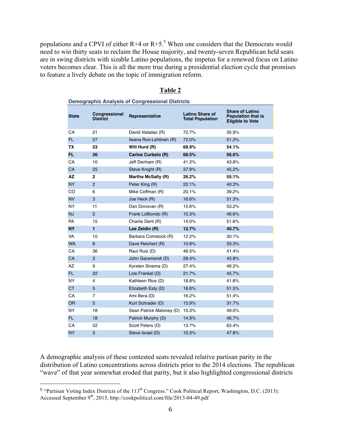populations and a CPVI of either  $R+4$  or  $R+5$ .<sup>5</sup> When one considers that the Democrats would need to win thirty seats to reclaim the House majority, and twenty-seven Republican held seats are in swing districts with sizable Latino populations, the impetus for a renewed focus on Latino voters becomes clear. This is all the more true during a presidential election cycle that promises to feature a lively debate on the topic of immigration reform.

| <b>State</b> | Congressional<br><b>District</b> | Representative           | Latino Share of<br><b>Total Population</b> | <b>Share of Latino</b><br><b>Population that is</b><br><b>Eligible to Vote</b> |
|--------------|----------------------------------|--------------------------|--------------------------------------------|--------------------------------------------------------------------------------|
| СA           | 21                               | David Valadao (R)        | 72.7%                                      | 35.9%                                                                          |
| FL.          | 27                               | Ileana Ros-Lehtinen (R)  | 72.0%                                      | 51.2%                                                                          |
| TX           | 23                               | Will Hurd (R)            | 68.9%                                      | 54.1%                                                                          |
| FL.          | 26                               | Carlos Curbelo (R)       | 68.5%                                      | 56.6%                                                                          |
| CA           | 10                               | Jeff Denham (R)          | 41.2%                                      | 43.8%                                                                          |
| CA           | 25                               | Steve Knight (R)         | 37.9%                                      | 45.2%                                                                          |
| ΑZ           | $\mathbf{2}$                     | Martha McSally (R)       | 26.2%                                      | 55.1%                                                                          |
| <b>NY</b>    | $\overline{2}$                   | Peter King (R)           | 22.1%                                      | 40.3%                                                                          |
| CO           | 6                                | Mike Coffman (R)         | 20.1%                                      | 39.2%                                                                          |
| <b>NV</b>    | 3                                | Joe Heck (R)             | 16.6%                                      | 51.3%                                                                          |
| <b>NY</b>    | 11                               | Dan Donovan (R)          | 15.6%                                      | 53.2%                                                                          |
| <b>NJ</b>    | $\overline{2}$                   | Frank LoBiondo (R)       | 15.3%                                      | 46.6%                                                                          |
| <b>PA</b>    | 15                               | Charlie Dent (R)         | 14.0%                                      | 51.6%                                                                          |
| <b>NY</b>    | $\blacksquare$                   | Lee Zeldin (R)           | 12.7%                                      | 40.7%                                                                          |
| <b>VA</b>    | 10                               | Barbara Comstock (R)     | 12.2%                                      | 30.1%                                                                          |
| <b>WA</b>    | 8                                | Dave Reichert (R)        | 10.8%                                      | 33.3%                                                                          |
| CA           | 36                               | Raul Ruiz (D)            | 46.5%                                      | 41.4%                                                                          |
| CA           | 3                                | John Garamendi (D)       | 28.4%                                      | 43.8%                                                                          |
| <b>AZ</b>    | 9                                | Kyrsten Sinema (D)       | 27.4%                                      | 46.2%                                                                          |
| FL.          | 22                               | Lois Frankel (D)         | 21.7%                                      | 45.7%                                                                          |
| <b>NY</b>    | 4                                | Kathleen Rice (D)        | 18.8%                                      | 41.8%                                                                          |
| <b>CT</b>    | 5                                | Elizabeth Esty (D)       | 16.6%                                      | 51.5%                                                                          |
| CA           | $\overline{7}$                   | Ami Bera (D)             | 16.2%                                      | 51.4%                                                                          |
| <b>OR</b>    | 5                                | Kurt Schrader (D)        | 15.9%                                      | 31.7%                                                                          |
| <b>NY</b>    | 18                               | Sean Patrick Maloney (D) | 15.3%                                      | 49.0%                                                                          |
| FL.          | 18                               | Patrick Murphy (D)       | 14.9%                                      | 46.7%                                                                          |
| CA           | 52                               | Scott Peters (D)         | 13.7%                                      | 63.4%                                                                          |
| <b>NY</b>    | 3                                | Steve Israel (D)         | 10.3%                                      | 47.8%                                                                          |

## **Table 2**

**Demographic Analysis of Congressional Districts**

A demographic analysis of these contested seats revealed relative partisan parity in the distribution of Latino concentrations across districts prior to the 2014 elections. The republican "wave" of that year somewhat eroded that parity, but it also highlighted congressional districts

 $5$  "Partisan Voting Index Districts of the 113<sup>th</sup> Congress." Cook Political Report, Washington, D.C. (2013): Accessed September 9<sup>th</sup>, 2015, http://cookpolitical.com/file/2013-04-49.pdf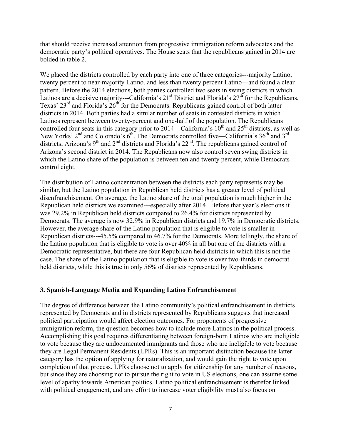that should receive increased attention from progressive immigration reform advocates and the democratic party's political operatives. The House seats that the republicans gained in 2014 are bolded in table 2.

We placed the districts controlled by each party into one of three categories---majority Latino, twenty percent to near-majority Latino, and less than twenty percent Latino---and found a clear pattern. Before the 2014 elections, both parties controlled two seats in swing districts in which Latinos are a decisive majority---California's  $21<sup>st</sup>$  District and Florida's  $27<sup>th</sup>$  for the Republicans, Texas'  $23<sup>rd</sup>$  and Florida's  $26<sup>th</sup>$  for the Democrats. Republicans gained control of both latter districts in 2014. Both parties had a similar number of seats in contested districts in which Latinos represent between twenty-percent and one-half of the population. The Republicans controlled four seats in this category prior to 2014—California's  $10<sup>th</sup>$  and  $25<sup>th</sup>$  districts, as well as New Yorks'  $2<sup>nd</sup>$  and Colorado's  $6<sup>th</sup>$ . The Democrats controlled five—California's  $36<sup>th</sup>$  and  $3<sup>rd</sup>$ districts, Arizona's  $9<sup>th</sup>$  and  $2<sup>nd</sup>$  districts and Florida's  $22<sup>nd</sup>$ . The republicans gained control of Arizona's second district in 2014. The Republicans now also control seven swing districts in which the Latino share of the population is between ten and twenty percent, while Democrats control eight.

The distribution of Latino concentration between the districts each party represents may be similar, but the Latino population in Republican held districts has a greater level of political disenfranchisement. On average, the Latino share of the total population is much higher in the Republican held districts we examined---especially after 2014. Before that year's elections it was 29.2% in Republican held districts compared to 26.4% for districts represented by Democrats. The average is now 32.9% in Republican districts and 19.7% in Democratic districts. However, the average share of the Latino population that is eligible to vote is smaller in Republican districts---45.5% compared to 46.7% for the Democrats. More tellingly, the share of the Latino population that is eligible to vote is over 40% in all but one of the districts with a Democratic representative, but there are four Republican held districts in which this is not the case. The share of the Latino population that is eligible to vote is over two-thirds in democrat held districts, while this is true in only 56% of districts represented by Republicans.

#### **3. Spanish-Language Media and Expanding Latino Enfranchisement**

The degree of difference between the Latino community's political enfranchisement in districts represented by Democrats and in districts represented by Republicans suggests that increased political participation would affect election outcomes. For proponents of progressive immigration reform, the question becomes how to include more Latinos in the political process. Accomplishing this goal requires differentiating between foreign-born Latinos who are ineligible to vote because they are undocumented immigrants and those who are ineligible to vote because they are Legal Permanent Residents (LPRs). This is an important distinction because the latter category has the option of applying for naturalization, and would gain the right to vote upon completion of that process. LPRs choose not to apply for citizenship for any number of reasons, but since they are choosing not to pursue the right to vote in US elections, one can assume some level of apathy towards American politics. Latino political enfranchisement is therefor linked with political engagement, and any effort to increase voter eligibility must also focus on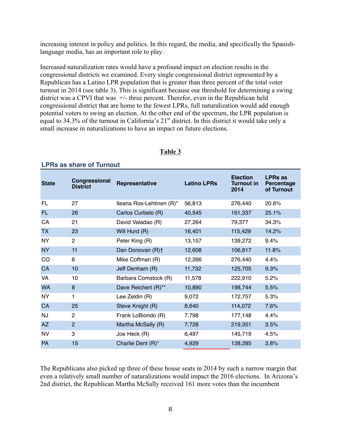increasing interest in policy and politics. In this regard, the media, and specifically the Spanishlanguage media, has an important role to play.

Increased naturalization rates would have a profound impact on election results in the congressional districts we examined. Every single congressional district represented by a Republican has a Latino LPR population that is greater than three percent of the total voter turnout in 2014 (see table 3). This is significant because our threshold for determining a swing district was a CPVI that was +/- three percent. Therefor, even in the Republican held congressional district that are home to the fewest LPRs, full naturalization would add enough potential voters to swing an election. At the other end of the spectrum, the LPR population is equal to 34.3% of the turnout in California's 21<sup>st</sup> district. In this district it would take only a small increase in naturalizations to have an impact on future elections.

| <b>State</b> | Congressional<br><b>District</b> | Representative           | <b>Latino LPRs</b> | <b>Election</b><br><b>Turnout in</b><br>2014 | <b>LPRs as</b><br><b>Percentage</b><br>of Turnout |
|--------------|----------------------------------|--------------------------|--------------------|----------------------------------------------|---------------------------------------------------|
| FL.          | 27                               | lleana Ros-Lehtinen (R)* | 56,813             | 276,440                                      | 20.6%                                             |
| <b>FL</b>    | 26                               | Carlos Curbelo (R)       | 40,545             | 161,337                                      | 25.1%                                             |
| CA           | 21                               | David Valadao (R)        | 27,264             | 79,377                                       | 34.3%                                             |
| <b>TX</b>    | 23                               | Will Hurd (R)            | 16,401             | 115,429                                      | 14.2%                                             |
| <b>NY</b>    | $\overline{2}$                   | Peter King (R)           | 13,157             | 139,272                                      | 9.4%                                              |
| <b>NY</b>    | 11                               | Dan Donovan (R)+         | 12,608             | 106,817                                      | 11.8%                                             |
| CO           | 6                                | Mike Coffman (R)         | 12,266             | 276,440                                      | 4.4%                                              |
| CA           | 10                               | Jeff Denham (R)          | 11,732             | 125,705                                      | 9.3%                                              |
| VA           | 10                               | Barbara Comstock (R)     | 11,578             | 222,910                                      | 5.2%                                              |
| <b>WA</b>    | 8                                | Dave Reichert (R)**      | 10,890             | 198,744                                      | 5.5%                                              |
| <b>NY</b>    | 1                                | Lee Zeldin (R)           | 9,072              | 172,757                                      | 5.3%                                              |
| CA           | 25                               | Steve Knight (R)         | 8,640              | 114,072                                      | 7.6%                                              |
| <b>NJ</b>    | $\overline{c}$                   | Frank LoBiondo (R)       | 7,798              | 177,148                                      | 4.4%                                              |
| <b>AZ</b>    | $\overline{2}$                   | Martha McSally (R)       | 7,728              | 219,351                                      | 3.5%                                              |
| <b>NV</b>    | 3                                | Joe Heck (R)             | 6,497              | 145,719                                      | 4.5%                                              |
| PA           | 15                               | Charlie Dent (R)*        | 4,929              | 128,285                                      | 3.8%                                              |

## **Table 3**

#### **LPRs as share of Turnout**

The Republicans also picked up three of these house seats in 2014 by such a narrow margin that even a relatively small number of naturalizations would impact the 2016 elections. In Arizona's 2nd district, the Republican Martha McSally received 161 more votes than the incumbent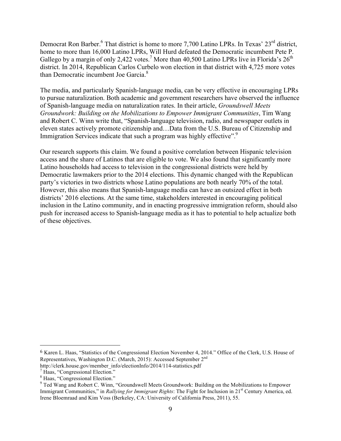Democrat Ron Barber.<sup>6</sup> That district is home to more 7,700 Latino LPRs. In Texas' 23<sup>rd</sup> district, home to more than 16,000 Latino LPRs, Will Hurd defeated the Democratic incumbent Pete P. Gallego by a margin of only 2,422 votes.<sup>7</sup> More than 40,500 Latino LPRs live in Florida's  $26<sup>th</sup>$ district. In 2014, Republican Carlos Curbelo won election in that district with 4,725 more votes than Democratic incumbent Joe Garcia.<sup>8</sup>

The media, and particularly Spanish-language media, can be very effective in encouraging LPRs to pursue naturalization. Both academic and government researchers have observed the influence of Spanish-language media on naturalization rates. In their article, *Groundswell Meets Groundwork: Building on the Mobilizations to Empower Immigrant Communities*, Tim Wang and Robert C. Winn write that, "Spanish-language television, radio, and newspaper outlets in eleven states actively promote citizenship and…Data from the U.S. Bureau of Citizenship and Immigration Services indicate that such a program was highly effective".<sup>9</sup>

Our research supports this claim. We found a positive correlation between Hispanic television access and the share of Latinos that are eligible to vote. We also found that significantly more Latino households had access to television in the congressional districts were held by Democratic lawmakers prior to the 2014 elections. This dynamic changed with the Republican party's victories in two districts whose Latino populations are both nearly 70% of the total. However, this also means that Spanish-language media can have an outsized effect in both districts' 2016 elections. At the same time, stakeholders interested in encouraging political inclusion in the Latino community, and in enacting progressive immigration reform, should also push for increased access to Spanish-language media as it has to potential to help actualize both of these objectives.

<sup>6</sup> Karen L. Haas, "Statistics of the Congressional Election November 4, 2014." Office of the Clerk, U.S. House of Representatives, Washington D.C. (March, 2015): Accessed September 2nd

http://clerk.house.gov/member\_info/electionInfo/2014/114-statistics.pdf<br>
<sup>7</sup> Haas, "Congressional Election."

<sup>8</sup> Haas, "Congressional Election."

<sup>&</sup>lt;sup>9</sup> Ted Wang and Robert C. Winn, "Groundswell Meets Groundwork: Building on the Mobilizations to Empower Immigrant Communities," in *Rallying for Immigrant Rights*: The Fight for Inclusion in 21<sup>st</sup> Century America, ed. Irene Bloemraad and Kim Voss (Berkeley, CA: University of California Press, 2011), 55.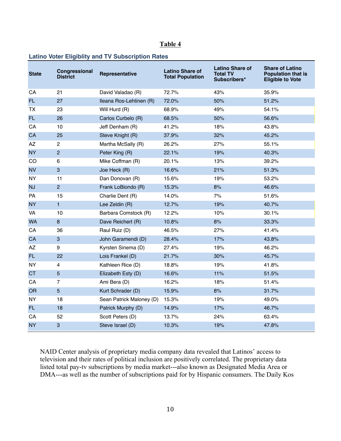#### **Table 4**

## **Latino Voter Eligiblity and TV Subscription Rates**

| <b>State</b> | Congressional<br><b>District</b> | Representative           | <b>Latino Share of</b><br><b>Total Population</b> | <b>Latino Share of</b><br><b>Total TV</b><br>Subscribers* | <b>Share of Latino</b><br><b>Population that is</b><br><b>Eligible to Vote</b> |
|--------------|----------------------------------|--------------------------|---------------------------------------------------|-----------------------------------------------------------|--------------------------------------------------------------------------------|
| CA           | 21                               | David Valadao (R)        | 72.7%                                             | 43%                                                       | 35.9%                                                                          |
| FL.          | 27                               | Ileana Ros-Lehtinen (R)  | 72.0%                                             | 50%                                                       | 51.2%                                                                          |
| ТX           | 23                               | Will Hurd (R)            | 68.9%                                             | 49%                                                       | 54.1%                                                                          |
| FL.          | 26                               | Carlos Curbelo (R)       | 68.5%                                             | 50%                                                       | 56.6%                                                                          |
| CA           | 10                               | Jeff Denham (R)          | 41.2%                                             | 18%                                                       | 43.8%                                                                          |
| CA           | 25                               | Steve Knight (R)         | 37.9%                                             | 32%                                                       | 45.2%                                                                          |
| AZ           | $\overline{c}$                   | Martha McSally (R)       | 26.2%                                             | 27%                                                       | 55.1%                                                                          |
| <b>NY</b>    | $\overline{2}$                   | Peter King (R)           | 22.1%                                             | 19%                                                       | 40.3%                                                                          |
| CO           | 6                                | Mike Coffman (R)         | 20.1%                                             | 13%                                                       | 39.2%                                                                          |
| <b>NV</b>    | 3                                | Joe Heck (R)             | 16.6%                                             | 21%                                                       | 51.3%                                                                          |
| <b>NY</b>    | 11                               | Dan Donovan (R)          | 15.6%                                             | 19%                                                       | 53.2%                                                                          |
| <b>NJ</b>    | $\overline{c}$                   | Frank LoBiondo (R)       | 15.3%                                             | 8%                                                        | 46.6%                                                                          |
| <b>PA</b>    | 15                               | Charlie Dent (R)         | 14.0%                                             | 7%                                                        | 51.6%                                                                          |
| <b>NY</b>    | $\mathbf{1}$                     | Lee Zeldin (R)           | 12.7%                                             | 19%                                                       | 40.7%                                                                          |
| VA           | 10                               | Barbara Comstock (R)     | 12.2%                                             | 10%                                                       | 30.1%                                                                          |
| <b>WA</b>    | 8                                | Dave Reichert (R)        | 10.8%                                             | 8%                                                        | 33.3%                                                                          |
| СA           | 36                               | Raul Ruiz (D)            | 46.5%                                             | 27%                                                       | 41.4%                                                                          |
| CA           | 3                                | John Garamendi (D)       | 28.4%                                             | 17%                                                       | 43.8%                                                                          |
| AZ           | 9                                | Kyrsten Sinema (D)       | 27.4%                                             | 19%                                                       | 46.2%                                                                          |
| FL.          | 22                               | Lois Frankel (D)         | 21.7%                                             | 30%                                                       | 45.7%                                                                          |
| <b>NY</b>    | 4                                | Kathleen Rice (D)        | 18.8%                                             | 19%                                                       | 41.8%                                                                          |
| <b>CT</b>    | 5                                | Elizabeth Esty (D)       | 16.6%                                             | 11%                                                       | 51.5%                                                                          |
| CA           | $\overline{7}$                   | Ami Bera (D)             | 16.2%                                             | 18%                                                       | 51.4%                                                                          |
| <b>OR</b>    | 5                                | Kurt Schrader (D)        | 15.9%                                             | 8%                                                        | 31.7%                                                                          |
| <b>NY</b>    | 18                               | Sean Patrick Maloney (D) | 15.3%                                             | 19%                                                       | 49.0%                                                                          |
| FL.          | 18                               | Patrick Murphy (D)       | 14.9%                                             | 17%                                                       | 46.7%                                                                          |
| CA           | 52                               | Scott Peters (D)         | 13.7%                                             | 24%                                                       | 63.4%                                                                          |
| <b>NY</b>    | 3                                | Steve Israel (D)         | 10.3%                                             | 19%                                                       | 47.8%                                                                          |

NAID Center analysis of proprietary media company data revealed that Latinos' access to television and their rates of political inclusion are positively correlated. The proprietary data listed total pay-tv subscriptions by media market---also known as Designated Media Area or DMA---as well as the number of subscriptions paid for by Hispanic consumers. The Daily Kos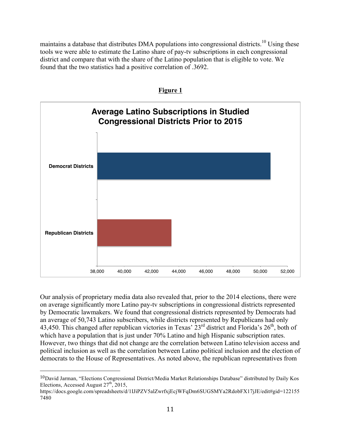maintains a database that distributes DMA populations into congressional districts.<sup>10</sup> Using these tools we were able to estimate the Latino share of pay-tv subscriptions in each congressional district and compare that with the share of the Latino population that is eligible to vote. We found that the two statistics had a positive correlation of .3692.





Our analysis of proprietary media data also revealed that, prior to the 2014 elections, there were on average significantly more Latino pay-tv subscriptions in congressional districts represented by Democratic lawmakers. We found that congressional districts represented by Democrats had an average of 50,743 Latino subscribers, while districts represented by Republicans had only 43,450. This changed after republican victories in Texas'  $23<sup>rd</sup>$  district and Florida's  $26<sup>th</sup>$ , both of which have a population that is just under 70% Latino and high Hispanic subscription rates. However, two things that did not change are the correlation between Latino television access and political inclusion as well as the correlation between Latino political inclusion and the election of democrats to the House of Representatives. As noted above, the republican representatives from

<sup>10</sup>David Jarman, "Elections Congressional District/Media Market Relationships Database" distributed by Daily Kos Elections, Accessed August  $27<sup>th</sup>$ , 2015,

https://docs.google.com/spreadsheets/d/1IJiPZV5alZwrfxjEcjWFqDm6SUGSMYa2RdobFX17jJE/edit#gid=122155 7480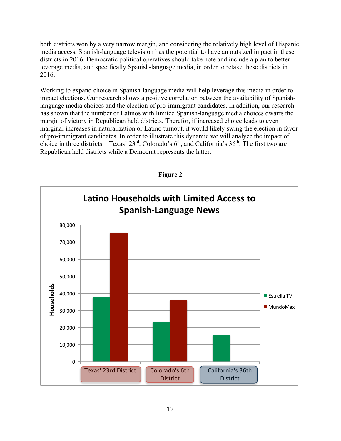both districts won by a very narrow margin, and considering the relatively high level of Hispanic media access, Spanish-language television has the potential to have an outsized impact in these districts in 2016. Democratic political operatives should take note and include a plan to better leverage media, and specifically Spanish-language media, in order to retake these districts in 2016.

Working to expand choice in Spanish-language media will help leverage this media in order to impact elections. Our research shows a positive correlation between the availability of Spanishlanguage media choices and the election of pro-immigrant candidates. In addition, our research has shown that the number of Latinos with limited Spanish-language media choices dwarfs the margin of victory in Republican held districts. Therefor, if increased choice leads to even marginal increases in naturalization or Latino turnout, it would likely swing the election in favor of pro-immigrant candidates. In order to illustrate this dynamic we will analyze the impact of choice in three districts—Texas'  $23^{rd}$ , Colorado's  $6^{th}$ , and California's  $36^{th}$ . The first two are Republican held districts while a Democrat represents the latter.



**Figure 2**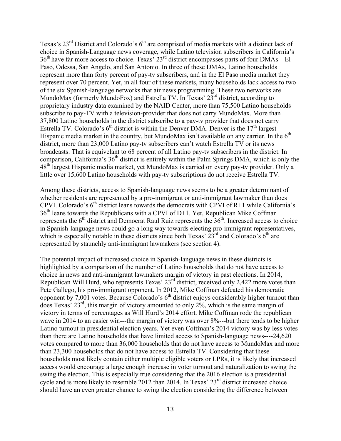Texas's  $23^{\text{rd}}$  District and Colorado's  $6^{\text{th}}$  are comprised of media markets with a distinct lack of choice in Spanish-Language news coverage, while Latino television subscribers in California's 36th have far more access to choice. Texas' 23rd district encompasses parts of four DMAs---El Paso, Odessa, San Angelo, and San Antonio. In three of these DMAs, Latino households represent more than forty percent of pay-tv subscribers, and in the El Paso media market they represent over 70 percent. Yet, in all four of these markets, many households lack access to two of the six Spanish-language networks that air news programming. These two networks are MundoMax (formerly MundoFox) and Estrella TV. In Texas' 23<sup>rd</sup> district, according to proprietary industry data examined by the NAID Center, more than 75,500 Latino households subscribe to pay-TV with a television-provider that does not carry MundoMax. More than 37,800 Latino households in the district subscribe to a pay-tv provider that does not carry Estrella TV. Colorado's  $6<sup>th</sup>$  district is within the Denver DMA. Denver is the 17<sup>th</sup> largest Hispanic media market in the country, but MundoMax isn't available on any carrier. In the  $6<sup>th</sup>$ district, more than 23,000 Latino pay-tv subscribers can't watch Estrella TV or its news broadcasts. That is equivelant to 68 percent of all Latino pay-tv subscribers in the district. In comparison, California's 36<sup>th</sup> district is entirely within the Palm Springs DMA, which is only the 48th largest Hispanic media market, yet MundoMax is carried on every pay-tv provider. Only a little over 15,600 Latino households with pay-tv subscriptions do not receive Estrella TV.

Among these districts, access to Spanish-language news seems to be a greater determinant of whether residents are represented by a pro-immigrant or anti-immigrant lawmaker than does CPVI. Colorado's  $6<sup>th</sup>$  district leans towards the democrats with CPVI of R+1 while California's 36<sup>th</sup> leans towards the Republicans with a CPVI of D+1. Yet, Republican Mike Coffman represents the  $6<sup>th</sup>$  district and Democrat Raul Ruiz represents the  $36<sup>th</sup>$ . Increased access to choice in Spanish-language news could go a long way towards electing pro-immigrant representatives, which is especially notable in these districts since both Texas'  $23<sup>rd</sup>$  and Colorado's 6<sup>th</sup> are represented by staunchly anti-immigrant lawmakers (see section 4).

The potential impact of increased choice in Spanish-language news in these districts is highlighted by a comparison of the number of Latino households that do not have access to choice in news and anti-immigrant lawmakers margin of victory in past elections. In 2014, Republican Will Hurd, who represents Texas'  $23<sup>rd</sup>$  district, received only 2,422 more votes than Pete Gallego, his pro-immigrant opponent. In 2012, Mike Coffman defeated his democratic opponent by 7,001 votes. Because Colorado's  $6<sup>th</sup>$  district enjoys considerably higher turnout than does Texas' 23rd, this margin of victory amounted to only 2%, which is the same margin of victory in terms of percentages as Will Hurd's 2014 effort. Mike Coffman rode the republican wave in 2014 to an easier win---the margin of victory was over 8%---but there tends to be higher Latino turnout in presidential election years. Yet even Coffman's 2014 victory was by less votes than there are Latino households that have limited access to Spanish-language news----24,620 votes compared to more than 36,000 households that do not have access to MundoMax and more than 23,300 households that do not have access to Estrella TV. Considering that these households most likely contain either multiple eligible voters or LPRs, it is likely that increased access would encourage a large enough increase in voter turnout and naturalization to swing the swing the election. This is especially true considering that the 2016 election is a presidential cycle and is more likely to resemble 2012 than 2014. In Texas' 23<sup>rd</sup> district increased choice should have an even greater chance to swing the election considering the difference between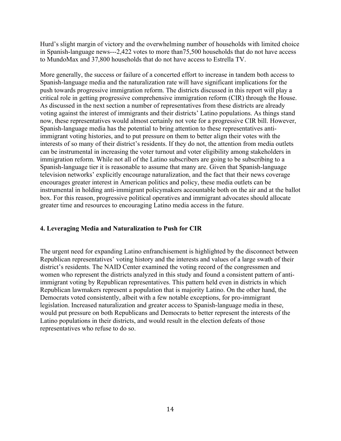Hurd's slight margin of victory and the overwhelming number of households with limited choice in Spanish-language news---2,422 votes to more than75,500 households that do not have access to MundoMax and 37,800 households that do not have access to Estrella TV.

More generally, the success or failure of a concerted effort to increase in tandem both access to Spanish-language media and the naturalization rate will have significant implications for the push towards progressive immigration reform. The districts discussed in this report will play a critical role in getting progressive comprehensive immigration reform (CIR) through the House. As discussed in the next section a number of representatives from these districts are already voting against the interest of immigrants and their districts' Latino populations. As things stand now, these representatives would almost certainly not vote for a progressive CIR bill. However, Spanish-language media has the potential to bring attention to these representatives antiimmigrant voting histories, and to put pressure on them to better align their votes with the interests of so many of their district's residents. If they do not, the attention from media outlets can be instrumental in increasing the voter turnout and voter eligibility among stakeholders in immigration reform. While not all of the Latino subscribers are going to be subscribing to a Spanish-language tier it is reasonable to assume that many are. Given that Spanish-language television networks' explicitly encourage naturalization, and the fact that their news coverage encourages greater interest in American politics and policy, these media outlets can be instrumental in holding anti-immigrant policymakers accountable both on the air and at the ballot box. For this reason, progressive political operatives and immigrant advocates should allocate greater time and resources to encouraging Latino media access in the future.

# **4. Leveraging Media and Naturalization to Push for CIR**

The urgent need for expanding Latino enfranchisement is highlighted by the disconnect between Republican representatives' voting history and the interests and values of a large swath of their district's residents. The NAID Center examined the voting record of the congressmen and women who represent the districts analyzed in this study and found a consistent pattern of antiimmigrant voting by Republican representatives. This pattern held even in districts in which Republican lawmakers represent a population that is majority Latino. On the other hand, the Democrats voted consistently, albeit with a few notable exceptions, for pro-immigrant legislation. Increased naturalization and greater access to Spanish-language media in these, would put pressure on both Republicans and Democrats to better represent the interests of the Latino populations in their districts, and would result in the election defeats of those representatives who refuse to do so.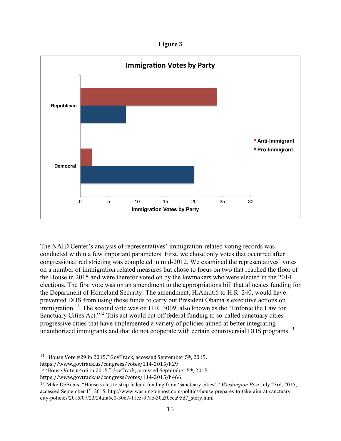**Figure 3**



The NAID Center's analysis of representatives' immigration-related voting records was conducted within a few important parameters. First, we chose only votes that occurred after congressional redistricting was completed in mid-2012. We examined the representatives' votes on a number of immigration related measures but chose to focus on two that reached the floor of the House in 2015 and were therefor voted on by the lawmakers who were elected in the 2014 elections. The first vote was on an amendment to the appropriations bill that allocates funding for the Department of Homeland Security. The amendment, H.Amdt.6 to H.R. 240, would have prevented DHS from using those funds to carry out President Obama's executive actions on immigration.<sup>11</sup> The second vote was on H.R. 3009, also known as the "Enforce the Law for Sanctuary Cities Act."<sup>12</sup> This act would cut off federal funding to so-called sanctuary cities--progressive cities that have implemented a variety of policies aimed at better integrating unauthorized immigrants and that do not cooperate with certain controversial DHS programs.<sup>13</sup>

<sup>&</sup>lt;sup>11</sup> "House Vote #29 in 2015," GovTrack, accessed September  $5<sup>th</sup>$ , 2015, https://www.govtrack.us/congress/votes/114-2015/h29

<sup>&</sup>lt;sup>12</sup> "House Vote #466 in 2015," GovTrack, accessed September 5<sup>th</sup>, 2015,

https://www.govtrack.us/congress/votes/114-2015/h466

<sup>13</sup> Mike DeBonis, "House votes to strip federal funding from 'sanctuary cities'," *Washington Post* July 23rd, 2015, accessed September 1<sup>st</sup>, 2015, http://www.washingtonpost.com/politics/house-prepares-to-take-aim-at-sanctuarycity-policies/2015/07/23/24afa5c0-30c7-11e5-97ae-30a30cca95d7\_story.html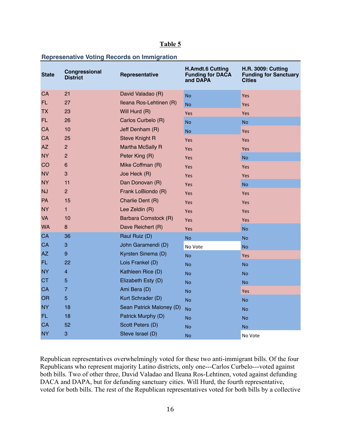## **Table 5**

## **Represenative Voting Records on Immigration**

| <b>State</b> | Congressional<br><b>District</b> | Representative           | <b>H.Amdt.6 Cutting</b><br><b>Funding for DACA</b><br>and DAPA | <b>H.R. 3009: Cutting</b><br><b>Funding for Sanctuary</b><br><b>Cities</b> |
|--------------|----------------------------------|--------------------------|----------------------------------------------------------------|----------------------------------------------------------------------------|
| CA           | 21                               | David Valadao (R)        | <b>No</b>                                                      | Yes                                                                        |
| FL.          | 27                               | Ileana Ros-Lehtinen (R)  | <b>No</b>                                                      | Yes                                                                        |
| <b>TX</b>    | 23                               | Will Hurd (R)            | Yes                                                            | Yes                                                                        |
| <b>FL</b>    | 26                               | Carlos Curbelo (R)       | <b>No</b>                                                      | <b>No</b>                                                                  |
| CA           | 10                               | Jeff Denham (R)          | <b>No</b>                                                      | Yes                                                                        |
| CA           | 25                               | <b>Steve Knight R</b>    | Yes                                                            | Yes                                                                        |
| AZ           | $\overline{c}$                   | Martha McSally R         | Yes                                                            | Yes                                                                        |
| <b>NY</b>    | $\overline{2}$                   | Peter King (R)           | Yes                                                            | <b>No</b>                                                                  |
| CO           | $6\phantom{1}$                   | Mike Coffman (R)         | Yes                                                            | <b>Yes</b>                                                                 |
| <b>NV</b>    | 3                                | Joe Heck (R)             | Yes                                                            | Yes                                                                        |
| <b>NY</b>    | 11                               | Dan Donovan (R)          | Yes                                                            | <b>No</b>                                                                  |
| <b>NJ</b>    | $\overline{2}$                   | Frank LoBiondo (R)       | Yes                                                            | <b>Yes</b>                                                                 |
| PA           | 15                               | Charlie Dent (R)         | Yes                                                            | Yes                                                                        |
| <b>NY</b>    | $\mathbf{1}$                     | Lee Zeldin (R)           | Yes                                                            | <b>Yes</b>                                                                 |
| <b>VA</b>    | 10                               | Barbara Comstock (R)     | Yes                                                            | Yes                                                                        |
| <b>WA</b>    | 8                                | Dave Reichert (R)        | Yes                                                            | <b>No</b>                                                                  |
| CA           | 36                               | Raul Ruiz (D)            | <b>No</b>                                                      | <b>No</b>                                                                  |
| CA           | 3                                | John Garamendi (D)       | No Vote                                                        | <b>No</b>                                                                  |
| AZ           | 9                                | Kyrsten Sinema (D)       | <b>No</b>                                                      | Yes                                                                        |
| FL.          | 22                               | Lois Frankel (D)         | <b>No</b>                                                      | <b>No</b>                                                                  |
| <b>NY</b>    | $\overline{\mathbf{4}}$          | Kathleen Rice (D)        | <b>No</b>                                                      | <b>No</b>                                                                  |
| <b>CT</b>    | 5                                | Elizabeth Esty (D)       | <b>No</b>                                                      | <b>No</b>                                                                  |
| CA           | $\overline{7}$                   | Ami Bera (D)             | <b>No</b>                                                      | Yes                                                                        |
| <b>OR</b>    | 5                                | Kurt Schrader (D)        | <b>No</b>                                                      | <b>No</b>                                                                  |
| <b>NY</b>    | 18                               | Sean Patrick Maloney (D) | <b>No</b>                                                      | <b>No</b>                                                                  |
| FL.          | 18                               | Patrick Murphy (D)       | <b>No</b>                                                      | <b>No</b>                                                                  |
| CA           | 52                               | Scott Peters (D)         | <b>No</b>                                                      | <b>No</b>                                                                  |
| <b>NY</b>    | 3                                | Steve Israel (D)         | <b>No</b>                                                      | No Vote                                                                    |

Republican representatives overwhelmingly voted for these two anti-immigrant bills. Of the four Republicans who represent majority Latino districts, only one---Carlos Curbelo---voted against both bills. Two of other three, David Valadao and Ileana Ros-Lehtinen, voted against defunding DACA and DAPA, but for defunding sanctuary cities. Will Hurd, the fourth representative, voted for both bills. The rest of the Republican representatives voted for both bills by a collective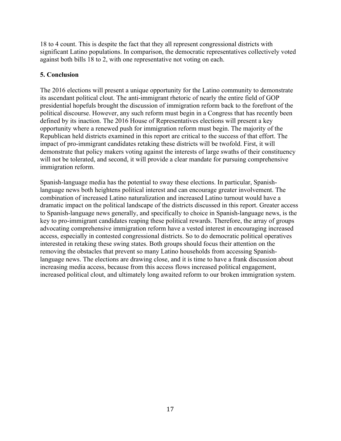18 to 4 count. This is despite the fact that they all represent congressional districts with significant Latino populations. In comparison, the democratic representatives collectively voted against both bills 18 to 2, with one representative not voting on each.

# **5. Conclusion**

The 2016 elections will present a unique opportunity for the Latino community to demonstrate its ascendant political clout. The anti-immigrant rhetoric of nearly the entire field of GOP presidential hopefuls brought the discussion of immigration reform back to the forefront of the political discourse. However, any such reform must begin in a Congress that has recently been defined by its inaction. The 2016 House of Representatives elections will present a key opportunity where a renewed push for immigration reform must begin. The majority of the Republican held districts examined in this report are critical to the success of that effort. The impact of pro-immigrant candidates retaking these districts will be twofold. First, it will demonstrate that policy makers voting against the interests of large swaths of their constituency will not be tolerated, and second, it will provide a clear mandate for pursuing comprehensive immigration reform.

Spanish-language media has the potential to sway these elections. In particular, Spanishlanguage news both heightens political interest and can encourage greater involvement. The combination of increased Latino naturalization and increased Latino turnout would have a dramatic impact on the political landscape of the districts discussed in this report. Greater access to Spanish-language news generally, and specifically to choice in Spanish-language news, is the key to pro-immigrant candidates reaping these political rewards. Therefore, the array of groups advocating comprehensive immigration reform have a vested interest in encouraging increased access, especially in contested congressional districts. So to do democratic political operatives interested in retaking these swing states. Both groups should focus their attention on the removing the obstacles that prevent so many Latino households from accessing Spanishlanguage news. The elections are drawing close, and it is time to have a frank discussion about increasing media access, because from this access flows increased political engagement, increased political clout, and ultimately long awaited reform to our broken immigration system.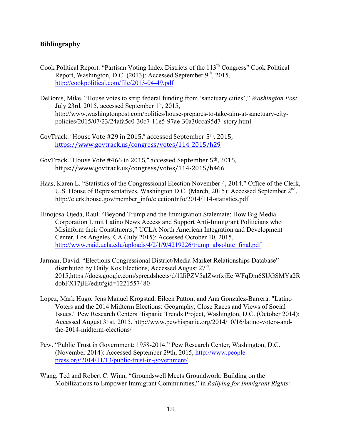## **Bibliography**

- Cook Political Report. "Partisan Voting Index Districts of the 113<sup>th</sup> Congress" Cook Political Report, Washington, D.C. (2013): Accessed September 9<sup>th</sup>, 2015. http://cookpolitical.com/file/2013-04-49.pdf
- DeBonis, Mike. "House votes to strip federal funding from 'sanctuary cities'," *Washington Post*  July 23rd, 2015, accessed September  $1<sup>st</sup>$ , 2015, http://www.washingtonpost.com/politics/house-prepares-to-take-aim-at-sanctuary-citypolicies/2015/07/23/24afa5c0-30c7-11e5-97ae-30a30cca95d7\_story.html
- GovTrack. "House Vote #29 in 2015," accessed September  $5<sup>th</sup>$ , 2015, https://www.govtrack.us/congress/votes/114-2015/h29
- GovTrack. "House Vote #466 in 2015," accessed September 5<sup>th</sup>, 2015, https://www.govtrack.us/congress/votes/114-2015/h466
- Haas, Karen L. "Statistics of the Congressional Election November 4, 2014." Office of the Clerk, U.S. House of Representatives, Washington D.C. (March, 2015): Accessed September  $2<sup>nd</sup>$ , http://clerk.house.gov/member\_info/electionInfo/2014/114-statistics.pdf
- Hinojosa-Ojeda, Raul. "Beyond Trump and the Immigration Stalemate: How Big Media Corporation Limit Latino News Access and Support Anti-Immigrant Politicians who Misinform their Constituents," UCLA North American Integration and Development Center, Los Angeles, CA (July 2015): Accessed October 10, 2015, http://www.naid.ucla.edu/uploads/4/2/1/9/4219226/trump\_absolute\_final.pdf
- Jarman, David. "Elections Congressional District/Media Market Relationships Database" distributed by Daily Kos Elections, Accessed August  $27<sup>th</sup>$ , 2015,https://docs.google.com/spreadsheets/d/1IJiPZV5alZwrfxjEcjWFqDm6SUGSMYa2R dobFX17jJE/edit#gid=1221557480
- Lopez, Mark Hugo, Jens Manuel Krogstad, Eileen Patton, and Ana Gonzalez-Barrera. "Latino Voters and the 2014 Midterm Elections: Geography, Close Races and Views of Social Issues." Pew Research Centers Hispanic Trends Project, Washington, D.C. (October 2014): Accessed August 31st, 2015, http://www.pewhispanic.org/2014/10/16/latino-voters-andthe-2014-midterm-elections/
- Pew. "Public Trust in Government: 1958-2014." Pew Research Center, Washington, D.C. (November 2014): Accessed September 29th, 2015, http://www.peoplepress.org/2014/11/13/public-trust-in-government/
- Wang, Ted and Robert C. Winn, "Groundswell Meets Groundwork: Building on the Mobilizations to Empower Immigrant Communities," in *Rallying for Immigrant Rights*: